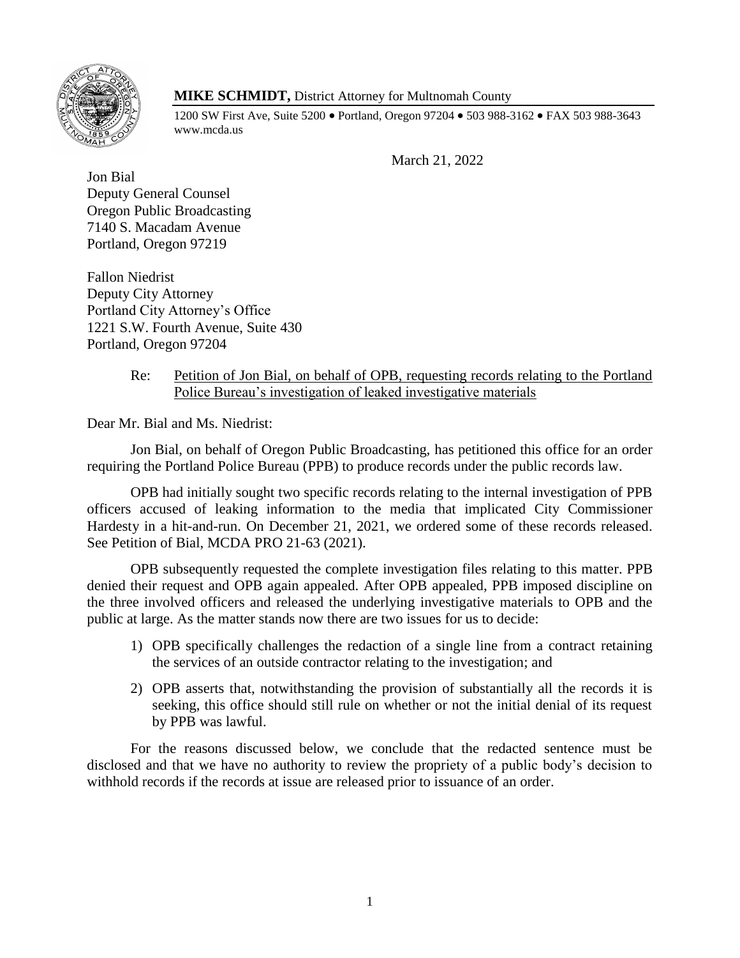

# **MIKE SCHMIDT,** District Attorney for Multnomah County

1200 SW First Ave, Suite 5200 • Portland, Oregon 97204 • 503 988-3162 • FAX 503 988-3643 www.mcda.us

March 21, 2022

Jon Bial Deputy General Counsel Oregon Public Broadcasting 7140 S. Macadam Avenue Portland, Oregon 97219

Fallon Niedrist Deputy City Attorney Portland City Attorney's Office 1221 S.W. Fourth Avenue, Suite 430 Portland, Oregon 97204

## Re: Petition of Jon Bial, on behalf of OPB, requesting records relating to the Portland Police Bureau's investigation of leaked investigative materials

Dear Mr. Bial and Ms. Niedrist:

Jon Bial, on behalf of Oregon Public Broadcasting, has petitioned this office for an order requiring the Portland Police Bureau (PPB) to produce records under the public records law.

OPB had initially sought two specific records relating to the internal investigation of PPB officers accused of leaking information to the media that implicated City Commissioner Hardesty in a hit-and-run. On December 21, 2021, we ordered some of these records released. See Petition of Bial, MCDA PRO 21-63 (2021).

OPB subsequently requested the complete investigation files relating to this matter. PPB denied their request and OPB again appealed. After OPB appealed, PPB imposed discipline on the three involved officers and released the underlying investigative materials to OPB and the public at large. As the matter stands now there are two issues for us to decide:

- 1) OPB specifically challenges the redaction of a single line from a contract retaining the services of an outside contractor relating to the investigation; and
- 2) OPB asserts that, notwithstanding the provision of substantially all the records it is seeking, this office should still rule on whether or not the initial denial of its request by PPB was lawful.

For the reasons discussed below, we conclude that the redacted sentence must be disclosed and that we have no authority to review the propriety of a public body's decision to withhold records if the records at issue are released prior to issuance of an order.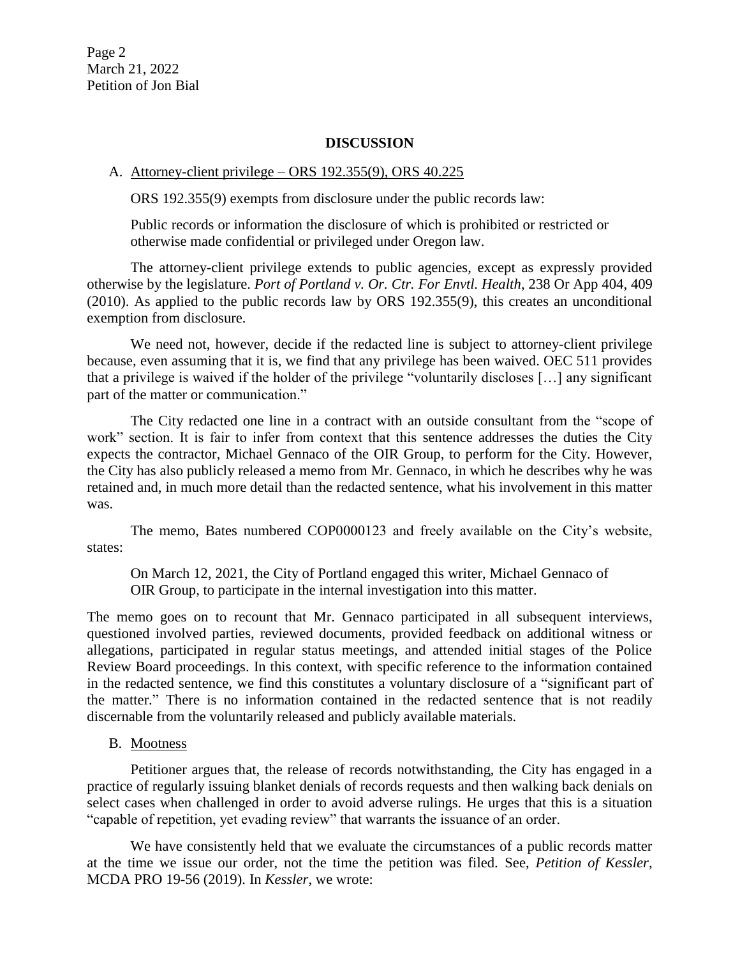### **DISCUSSION**

#### A. Attorney-client privilege – ORS 192.355(9), ORS 40.225

ORS 192.355(9) exempts from disclosure under the public records law:

Public records or information the disclosure of which is prohibited or restricted or otherwise made confidential or privileged under Oregon law.

The attorney-client privilege extends to public agencies, except as expressly provided otherwise by the legislature. *Port of Portland v. Or. Ctr. For Envtl. Health*, 238 Or App 404, 409 (2010). As applied to the public records law by ORS 192.355(9), this creates an unconditional exemption from disclosure.

We need not, however, decide if the redacted line is subject to attorney-client privilege because, even assuming that it is, we find that any privilege has been waived. OEC 511 provides that a privilege is waived if the holder of the privilege "voluntarily discloses […] any significant part of the matter or communication."

The City redacted one line in a contract with an outside consultant from the "scope of work" section. It is fair to infer from context that this sentence addresses the duties the City expects the contractor, Michael Gennaco of the OIR Group, to perform for the City. However, the City has also publicly released a memo from Mr. Gennaco, in which he describes why he was retained and, in much more detail than the redacted sentence, what his involvement in this matter was.

The memo, Bates numbered COP0000123 and freely available on the City's website, states:

On March 12, 2021, the City of Portland engaged this writer, Michael Gennaco of OIR Group, to participate in the internal investigation into this matter.

The memo goes on to recount that Mr. Gennaco participated in all subsequent interviews, questioned involved parties, reviewed documents, provided feedback on additional witness or allegations, participated in regular status meetings, and attended initial stages of the Police Review Board proceedings. In this context, with specific reference to the information contained in the redacted sentence, we find this constitutes a voluntary disclosure of a "significant part of the matter." There is no information contained in the redacted sentence that is not readily discernable from the voluntarily released and publicly available materials.

B. Mootness

Petitioner argues that, the release of records notwithstanding, the City has engaged in a practice of regularly issuing blanket denials of records requests and then walking back denials on select cases when challenged in order to avoid adverse rulings. He urges that this is a situation "capable of repetition, yet evading review" that warrants the issuance of an order.

We have consistently held that we evaluate the circumstances of a public records matter at the time we issue our order, not the time the petition was filed. See, *Petition of Kessler*, MCDA PRO 19-56 (2019). In *Kessler*, we wrote: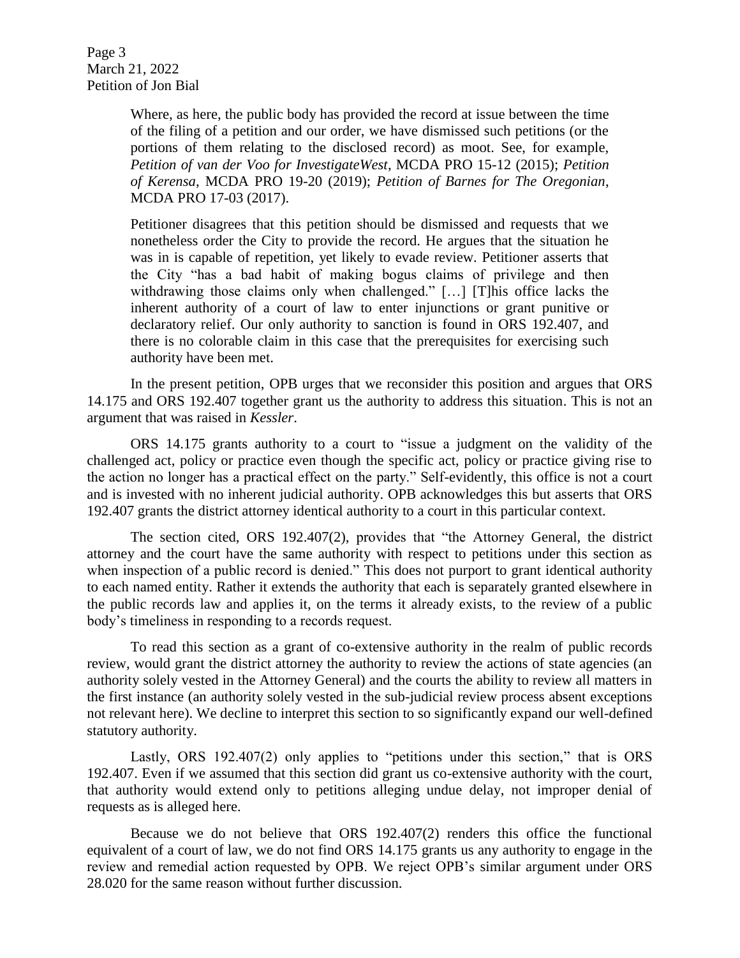Page 3 March 21, 2022 Petition of Jon Bial

> Where, as here, the public body has provided the record at issue between the time of the filing of a petition and our order, we have dismissed such petitions (or the portions of them relating to the disclosed record) as moot. See, for example, *Petition of van der Voo for InvestigateWest*, MCDA PRO 15-12 (2015); *Petition of Kerensa*, MCDA PRO 19-20 (2019); *Petition of Barnes for The Oregonian*, MCDA PRO 17-03 (2017).

> Petitioner disagrees that this petition should be dismissed and requests that we nonetheless order the City to provide the record. He argues that the situation he was in is capable of repetition, yet likely to evade review. Petitioner asserts that the City "has a bad habit of making bogus claims of privilege and then withdrawing those claims only when challenged." [...] [T]his office lacks the inherent authority of a court of law to enter injunctions or grant punitive or declaratory relief. Our only authority to sanction is found in ORS 192.407, and there is no colorable claim in this case that the prerequisites for exercising such authority have been met.

In the present petition, OPB urges that we reconsider this position and argues that ORS 14.175 and ORS 192.407 together grant us the authority to address this situation. This is not an argument that was raised in *Kessler*.

ORS 14.175 grants authority to a court to "issue a judgment on the validity of the challenged act, policy or practice even though the specific act, policy or practice giving rise to the action no longer has a practical effect on the party." Self-evidently, this office is not a court and is invested with no inherent judicial authority. OPB acknowledges this but asserts that ORS 192.407 grants the district attorney identical authority to a court in this particular context.

The section cited, ORS 192.407(2), provides that "the Attorney General, the district attorney and the court have the same authority with respect to petitions under this section as when inspection of a public record is denied." This does not purport to grant identical authority to each named entity. Rather it extends the authority that each is separately granted elsewhere in the public records law and applies it, on the terms it already exists, to the review of a public body's timeliness in responding to a records request.

To read this section as a grant of co-extensive authority in the realm of public records review, would grant the district attorney the authority to review the actions of state agencies (an authority solely vested in the Attorney General) and the courts the ability to review all matters in the first instance (an authority solely vested in the sub-judicial review process absent exceptions not relevant here). We decline to interpret this section to so significantly expand our well-defined statutory authority.

Lastly, ORS 192.407(2) only applies to "petitions under this section," that is ORS 192.407. Even if we assumed that this section did grant us co-extensive authority with the court, that authority would extend only to petitions alleging undue delay, not improper denial of requests as is alleged here.

Because we do not believe that ORS 192.407(2) renders this office the functional equivalent of a court of law, we do not find ORS 14.175 grants us any authority to engage in the review and remedial action requested by OPB. We reject OPB's similar argument under ORS 28.020 for the same reason without further discussion.